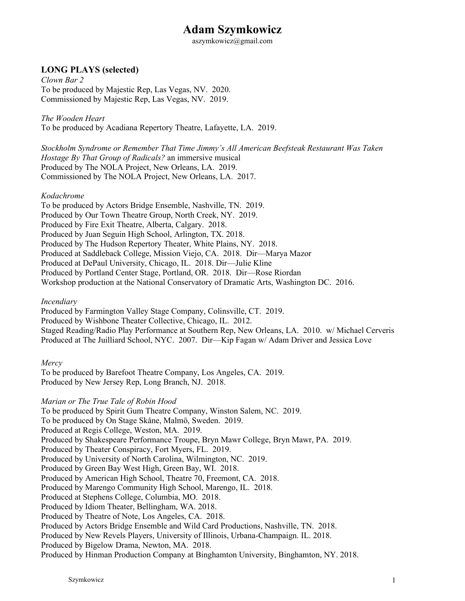# **Adam Szymkowicz**

aszymkowicz@gmail.com

# **LONG PLAYS (selected)**

*Clown Bar 2* To be produced by Majestic Rep, Las Vegas, NV. 2020. Commissioned by Majestic Rep, Las Vegas, NV. 2019.

*The Wooden Heart*

To be produced by Acadiana Repertory Theatre, Lafayette, LA. 2019.

*Stockholm Syndrome or Remember That Time Jimmy's All American Beefsteak Restaurant Was Taken Hostage By That Group of Radicals?* an immersive musical Produced by The NOLA Project, New Orleans, LA. 2019. Commissioned by The NOLA Project, New Orleans, LA. 2017.

### *Kodachrome*

To be produced by Actors Bridge Ensemble, Nashville, TN. 2019. Produced by Our Town Theatre Group, North Creek, NY. 2019. Produced by Fire Exit Theatre, Alberta, Calgary. 2018. Produced by Juan Seguin High School, Arlington, TX. 2018. Produced by The Hudson Repertory Theater, White Plains, NY. 2018. Produced at Saddleback College, Mission Viejo, CA. 2018. Dir—Marya Mazor Produced at DePaul University, Chicago, IL. 2018. Dir—Julie Kline Produced by Portland Center Stage, Portland, OR. 2018. Dir—Rose Riordan Workshop production at the National Conservatory of Dramatic Arts, Washington DC. 2016.

*Incendiary*

Produced by Farmington Valley Stage Company, Colinsville, CT. 2019. Produced by Wishbone Theater Collective, Chicago, IL. 2012. Staged Reading/Radio Play Performance at Southern Rep, New Orleans, LA. 2010. w/ Michael Cerveris Produced at The Juilliard School, NYC. 2007. Dir—Kip Fagan w/ Adam Driver and Jessica Love

*Mercy*

To be produced by Barefoot Theatre Company, Los Angeles, CA. 2019. Produced by New Jersey Rep, Long Branch, NJ. 2018.

*Marian or The True Tale of Robin Hood*

To be produced by Spirit Gum Theatre Company, Winston Salem, NC. 2019.

To be produced by On Stage Skåne, Malmö, Sweden. 2019.

Produced at Regis College, Weston, MA. 2019.

Produced by Shakespeare Performance Troupe, Bryn Mawr College, Bryn Mawr, PA. 2019.

Produced by Theater Conspiracy, Fort Myers, FL. 2019. Produced by University of North Carolina, Wilmington, NC. 2019.

Produced by Green Bay West High, Green Bay, WI. 2018.

Produced by American High School, Theatre 70, Freemont, CA. 2018.

Produced by Marengo Community High School, Marengo, IL. 2018.

Produced at Stephens College, Columbia, MO. 2018.

Produced by Idiom Theater, Bellingham, WA. 2018.

Produced by Theatre of Note, Los Angeles, CA. 2018.

Produced by Actors Bridge Ensemble and Wild Card Productions, Nashville, TN. 2018.

Produced by New Revels Players, University of Illinois, Urbana-Champaign. IL. 2018.

Produced by Bigelow Drama, Newton, MA. 2018.

Produced by Hinman Production Company at Binghamton University, Binghamton, NY. 2018.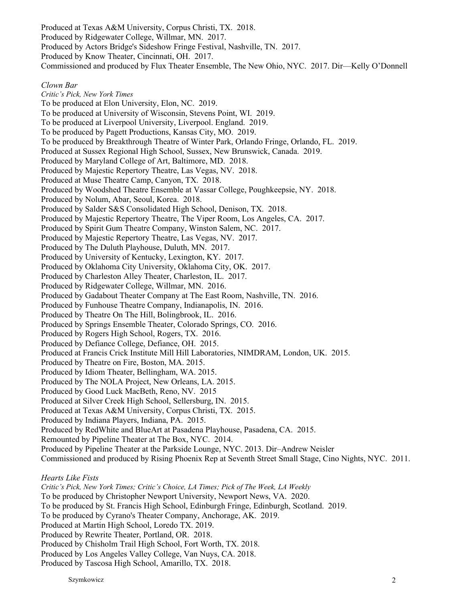Produced at Texas A&M University, Corpus Christi, TX. 2018. Produced by Ridgewater College, Willmar, MN. 2017. Produced by Actors Bridge's Sideshow Fringe Festival, Nashville, TN. 2017. Produced by Know Theater, Cincinnati, OH. 2017. Commissioned and produced by Flux Theater Ensemble, The New Ohio, NYC. 2017. Dir—Kelly O'Donnell

#### *Clown Bar*

*Critic's Pick, New York Times* To be produced at Elon University, Elon, NC. 2019. To be produced at University of Wisconsin, Stevens Point, WI. 2019. To be produced at Liverpool University, Liverpool. England. 2019. To be produced by Pagett Productions, Kansas City, MO. 2019. To be produced by Breakthrough Theatre of Winter Park, Orlando Fringe, Orlando, FL. 2019. Produced at Sussex Regional High School, Sussex, New Brunswick, Canada. 2019. Produced by Maryland College of Art, Baltimore, MD. 2018. Produced by Majestic Repertory Theatre, Las Vegas, NV. 2018. Produced at Muse Theatre Camp, Canyon, TX. 2018. Produced by Woodshed Theatre Ensemble at Vassar College, Poughkeepsie, NY. 2018. Produced by Nolum, Abar, Seoul, Korea. 2018. Produced by Salder S&S Consolidated High School, Denison, TX. 2018. Produced by Majestic Repertory Theatre, The Viper Room, Los Angeles, CA. 2017. Produced by Spirit Gum Theatre Company, Winston Salem, NC. 2017. Produced by Majestic Repertory Theatre, Las Vegas, NV. 2017. Produced by The Duluth Playhouse, Duluth, MN. 2017. Produced by University of Kentucky, Lexington, KY. 2017. Produced by Oklahoma City University, Oklahoma City, OK. 2017. Produced by Charleston Alley Theater, Charleston, IL. 2017. Produced by Ridgewater College, Willmar, MN. 2016. Produced by Gadabout Theater Company at The East Room, Nashville, TN. 2016. Produced by Funhouse Theatre Company, Indianapolis, IN. 2016. Produced by Theatre On The Hill, Bolingbrook, IL. 2016. Produced by Springs Ensemble Theater, Colorado Springs, CO. 2016. Produced by Rogers High School, Rogers, TX. 2016. Produced by Defiance College, Defiance, OH. 2015. Produced at Francis Crick Institute Mill Hill Laboratories, NIMDRAM, London, UK. 2015. Produced by Theatre on Fire, Boston, MA. 2015. Produced by Idiom Theater, Bellingham, WA. 2015. Produced by The NOLA Project, New Orleans, LA. 2015. Produced by Good Luck MacBeth, Reno, NV. 2015 Produced at Silver Creek High School, Sellersburg, IN. 2015. Produced at Texas A&M University, Corpus Christi, TX. 2015. Produced by Indiana Players, Indiana, PA. 2015. Produced by RedWhite and BlueArt at Pasadena Playhouse, Pasadena, CA. 2015. Remounted by Pipeline Theater at The Box, NYC. 2014. Produced by Pipeline Theater at the Parkside Lounge, NYC. 2013. Dir–Andrew Neisler Commissioned and produced by Rising Phoenix Rep at Seventh Street Small Stage, Cino Nights, NYC. 2011. *Hearts Like Fists Critic's Pick, New York Times; Critic's Choice, LA Times; Pick of The Week, LA Weekly*

To be produced by Christopher Newport University, Newport News, VA. 2020.

To be produced by St. Francis High School, Edinburgh Fringe, Edinburgh, Scotland. 2019.

- To be produced by Cyrano's Theater Company, Anchorage, AK. 2019.
- Produced at Martin High School, Loredo TX. 2019.
- Produced by Rewrite Theater, Portland, OR. 2018.

Produced by Chisholm Trail High School, Fort Worth, TX. 2018.

Produced by Los Angeles Valley College, Van Nuys, CA. 2018.

Produced by Tascosa High School, Amarillo, TX. 2018.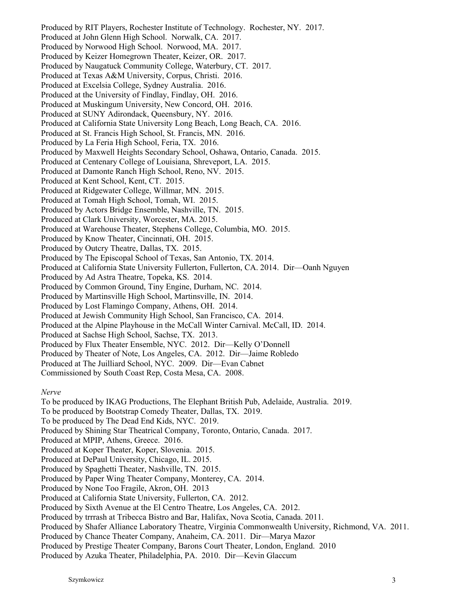Produced by RIT Players, Rochester Institute of Technology. Rochester, NY. 2017. Produced at John Glenn High School. Norwalk, CA. 2017. Produced by Norwood High School. Norwood, MA. 2017. Produced by Keizer Homegrown Theater, Keizer, OR. 2017. Produced by Naugatuck Community College, Waterbury, CT. 2017. Produced at Texas A&M University, Corpus, Christi. 2016. Produced at Excelsia College, Sydney Australia. 2016. Produced at the University of Findlay, Findlay, OH. 2016. Produced at Muskingum University, New Concord, OH. 2016. Produced at SUNY Adirondack, Queensbury, NY. 2016. Produced at California State University Long Beach, Long Beach, CA. 2016. Produced at St. Francis High School, St. Francis, MN. 2016. Produced by La Feria High School, Feria, TX. 2016. Produced by Maxwell Heights Secondary School, Oshawa, Ontario, Canada. 2015. Produced at Centenary College of Louisiana, Shreveport, LA. 2015. Produced at Damonte Ranch High School, Reno, NV. 2015. Produced at Kent School, Kent, CT. 2015. Produced at Ridgewater College, Willmar, MN. 2015. Produced at Tomah High School, Tomah, WI. 2015. Produced by Actors Bridge Ensemble, Nashville, TN. 2015. Produced at Clark University, Worcester, MA. 2015. Produced at Warehouse Theater, Stephens College, Columbia, MO. 2015. Produced by Know Theater, Cincinnati, OH. 2015. Produced by Outcry Theatre, Dallas, TX. 2015. Produced by The Episcopal School of Texas, San Antonio, TX. 2014. Produced at California State University Fullerton, Fullerton, CA. 2014. Dir—Oanh Nguyen Produced by Ad Astra Theatre, Topeka, KS. 2014. Produced by Common Ground, Tiny Engine, Durham, NC. 2014. Produced by Martinsville High School, Martinsville, IN. 2014. Produced by Lost Flamingo Company, Athens, OH. 2014. Produced at Jewish Community High School, San Francisco, CA. 2014. Produced at the Alpine Playhouse in the McCall Winter Carnival. McCall, ID. 2014. Produced at Sachse High School, Sachse, TX. 2013. Produced by Flux Theater Ensemble, NYC. 2012. Dir—Kelly O'Donnell Produced by Theater of Note, Los Angeles, CA. 2012. Dir—Jaime Robledo Produced at The Juilliard School, NYC. 2009. Dir—Evan Cabnet Commissioned by South Coast Rep, Costa Mesa, CA. 2008.

*Nerve*

To be produced by IKAG Productions, The Elephant British Pub, Adelaide, Australia. 2019.

To be produced by Bootstrap Comedy Theater, Dallas, TX. 2019.

To be produced by The Dead End Kids, NYC. 2019.

Produced by Shining Star Theatrical Company, Toronto, Ontario, Canada. 2017.

Produced at MPIP, Athens, Greece. 2016.

Produced at Koper Theater, Koper, Slovenia. 2015.

Produced at DePaul University, Chicago, IL. 2015.

Produced by Spaghetti Theater, Nashville, TN. 2015.

Produced by Paper Wing Theater Company, Monterey, CA. 2014.

Produced by None Too Fragile, Akron, OH. 2013

Produced at California State University, Fullerton, CA. 2012.

Produced by Sixth Avenue at the El Centro Theatre, Los Angeles, CA. 2012.

Produced by trrrash at Tribecca Bistro and Bar, Halifax, Nova Scotia, Canada. 2011.

Produced by Shafer Alliance Laboratory Theatre, Virginia Commonwealth University, Richmond, VA. 2011.

Produced by Chance Theater Company, Anaheim, CA. 2011. Dir—Marya Mazor

Produced by Prestige Theater Company, Barons Court Theater, London, England. 2010

Produced by Azuka Theater, Philadelphia, PA. 2010. Dir—Kevin Glaccum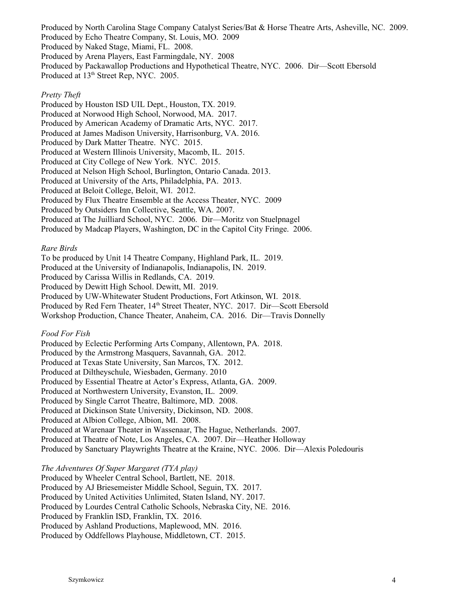Produced by North Carolina Stage Company Catalyst Series/Bat & Horse Theatre Arts, Asheville, NC. 2009. Produced by Echo Theatre Company, St. Louis, MO. 2009 Produced by Naked Stage, Miami, FL. 2008. Produced by Arena Players, East Farmingdale, NY. 2008 Produced by Packawallop Productions and Hypothetical Theatre, NYC. 2006. Dir—Scott Ebersold Produced at 13<sup>th</sup> Street Rep, NYC. 2005.

#### *Pretty Theft*

Produced by Houston ISD UIL Dept., Houston, TX. 2019. Produced at Norwood High School, Norwood, MA. 2017. Produced by American Academy of Dramatic Arts, NYC. 2017. Produced at James Madison University, Harrisonburg, VA. 2016. Produced by Dark Matter Theatre. NYC. 2015. Produced at Western Illinois University, Macomb, IL. 2015. Produced at City College of New York. NYC. 2015. Produced at Nelson High School, Burlington, Ontario Canada. 2013. Produced at University of the Arts, Philadelphia, PA. 2013. Produced at Beloit College, Beloit, WI. 2012. Produced by Flux Theatre Ensemble at the Access Theater, NYC. 2009 Produced by Outsiders Inn Collective, Seattle, WA. 2007. Produced at The Juilliard School, NYC. 2006. Dir—Moritz von Stuelpnagel Produced by Madcap Players, Washington, DC in the Capitol City Fringe. 2006.

#### *Rare Birds*

To be produced by Unit 14 Theatre Company, Highland Park, IL. 2019. Produced at the University of Indianapolis, Indianapolis, IN. 2019. Produced by Carissa Willis in Redlands, CA. 2019. Produced by Dewitt High School. Dewitt, MI. 2019. Produced by UW-Whitewater Student Productions, Fort Atkinson, WI. 2018. Produced by Red Fern Theater, 14th Street Theater, NYC. 2017. Dir—Scott Ebersold Workshop Production, Chance Theater, Anaheim, CA. 2016. Dir—Travis Donnelly

#### *Food For Fish*

Produced by Eclectic Performing Arts Company, Allentown, PA. 2018. Produced by the Armstrong Masquers, Savannah, GA. 2012. Produced at Texas State University, San Marcos, TX. 2012. Produced at Diltheyschule, Wiesbaden, Germany. 2010 Produced by Essential Theatre at Actor's Express, Atlanta, GA. 2009. Produced at Northwestern University, Evanston, IL. 2009. Produced by Single Carrot Theatre, Baltimore, MD. 2008. Produced at Dickinson State University, Dickinson, ND. 2008. Produced at Albion College, Albion, MI. 2008. Produced at Warenaar Theater in Wassenaar, The Hague, Netherlands. 2007. Produced at Theatre of Note, Los Angeles, CA. 2007. Dir—Heather Holloway Produced by Sanctuary Playwrights Theatre at the Kraine, NYC. 2006. Dir—Alexis Poledouris

*The Adventures Of Super Margaret (TYA play)*

Produced by Wheeler Central School, Bartlett, NE. 2018.

Produced by AJ Briesemeister Middle School, Seguin, TX. 2017.

Produced by United Activities Unlimited, Staten Island, NY. 2017.

Produced by Lourdes Central Catholic Schools, Nebraska City, NE. 2016.

Produced by Franklin ISD, Franklin, TX. 2016.

Produced by Ashland Productions, Maplewood, MN. 2016.

Produced by Oddfellows Playhouse, Middletown, CT. 2015.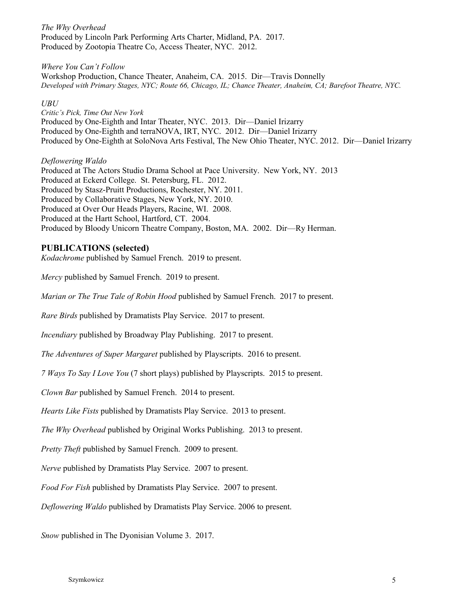*The Why Overhead* Produced by Lincoln Park Performing Arts Charter, Midland, PA. 2017. Produced by Zootopia Theatre Co, Access Theater, NYC. 2012.

*Where You Can't Follow* Workshop Production, Chance Theater, Anaheim, CA. 2015. Dir—Travis Donnelly *Developed with Primary Stages, NYC; Route 66, Chicago, IL; Chance Theater, Anaheim, CA; Barefoot Theatre, NYC.*

#### *UBU*

*Critic's Pick, Time Out New York* Produced by One-Eighth and Intar Theater, NYC. 2013. Dir—Daniel Irizarry Produced by One-Eighth and terraNOVA, IRT, NYC. 2012. Dir—Daniel Irizarry Produced by One-Eighth at SoloNova Arts Festival, The New Ohio Theater, NYC. 2012. Dir—Daniel Irizarry

*Deflowering Waldo*

Produced at The Actors Studio Drama School at Pace University. New York, NY. 2013 Produced at Eckerd College. St. Petersburg, FL. 2012. Produced by Stasz-Pruitt Productions, Rochester, NY. 2011. Produced by Collaborative Stages, New York, NY. 2010. Produced at Over Our Heads Players, Racine, WI. 2008. Produced at the Hartt School, Hartford, CT. 2004. Produced by Bloody Unicorn Theatre Company, Boston, MA. 2002. Dir—Ry Herman.

# **PUBLICATIONS (selected)**

*Kodachrome* published by Samuel French. 2019 to present.

*Mercy* published by Samuel French. 2019 to present.

*Marian or The True Tale of Robin Hood* published by Samuel French. 2017 to present.

*Rare Birds* published by Dramatists Play Service. 2017 to present.

*Incendiary* published by Broadway Play Publishing. 2017 to present.

*The Adventures of Super Margaret* published by Playscripts. 2016 to present.

*7 Ways To Say I Love You* (7 short plays) published by Playscripts. 2015 to present.

*Clown Bar* published by Samuel French. 2014 to present.

*Hearts Like Fists* published by Dramatists Play Service. 2013 to present.

*The Why Overhead* published by Original Works Publishing. 2013 to present.

*Pretty Theft* published by Samuel French. 2009 to present.

*Nerve* published by Dramatists Play Service. 2007 to present.

*Food For Fish* published by Dramatists Play Service. 2007 to present.

*Deflowering Waldo* published by Dramatists Play Service. 2006 to present.

*Snow* published in The Dyonisian Volume 3. 2017.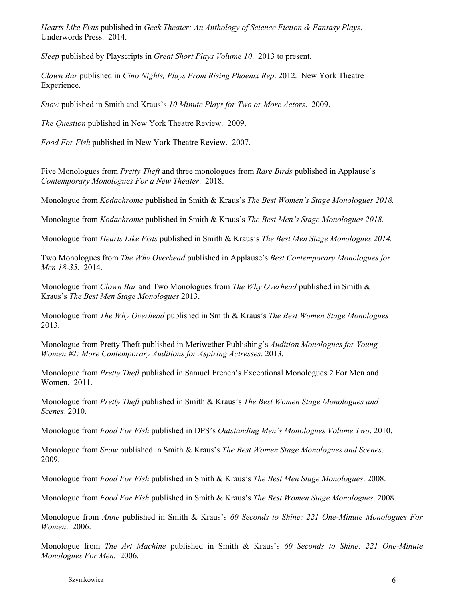*Hearts Like Fists* published in *Geek Theater: An Anthology of Science Fiction & Fantasy Plays*. Underwords Press. 2014.

*Sleep* published by Playscripts in *Great Short Plays Volume 10*. 2013 to present.

*Clown Bar* published in *Cino Nights, Plays From Rising Phoenix Rep*. 2012. New York Theatre Experience.

*Snow* published in Smith and Kraus's *10 Minute Plays for Two or More Actors*. 2009.

*The Question* published in New York Theatre Review. 2009.

*Food For Fish* published in New York Theatre Review. 2007.

Five Monologues from *Pretty Theft* and three monologues from *Rare Birds* published in Applause's *Contemporary Monologues For a New Theater*. 2018.

Monologue from *Kodachrome* published in Smith & Kraus's *The Best Women's Stage Monologues 2018.*

Monologue from *Kodachrome* published in Smith & Kraus's *The Best Men's Stage Monologues 2018.*

Monologue from *Hearts Like Fists* published in Smith & Kraus's *The Best Men Stage Monologues 2014.*

Two Monologues from *The Why Overhead* published in Applause's *Best Contemporary Monologues for Men 18-35*. 2014.

Monologue from *Clown Bar* and Two Monologues from *The Why Overhead* published in Smith & Kraus's *The Best Men Stage Monologues* 2013.

Monologue from *The Why Overhead* published in Smith & Kraus's *The Best Women Stage Monologues*  2013.

Monologue from Pretty Theft published in Meriwether Publishing's *Audition Monologues for Young Women #2: More Contemporary Auditions for Aspiring Actresses*. 2013.

Monologue from *Pretty Theft* published in Samuel French's Exceptional Monologues 2 For Men and Women. 2011.

Monologue from *Pretty Theft* published in Smith & Kraus's *The Best Women Stage Monologues and Scenes*. 2010.

Monologue from *Food For Fish* published in DPS's *Outstanding Men's Monologues Volume Two*. 2010.

Monologue from *Snow* published in Smith & Kraus's *The Best Women Stage Monologues and Scenes*. 2009.

Monologue from *Food For Fish* published in Smith & Kraus's *The Best Men Stage Monologues*. 2008.

Monologue from *Food For Fish* published in Smith & Kraus's *The Best Women Stage Monologues*. 2008.

Monologue from *Anne* published in Smith & Kraus's *60 Seconds to Shine: 221 One-Minute Monologues For Women*. 2006.

Monologue from *The Art Machine* published in Smith & Kraus's *60 Seconds to Shine: 221 One-Minute Monologues For Men.* 2006.